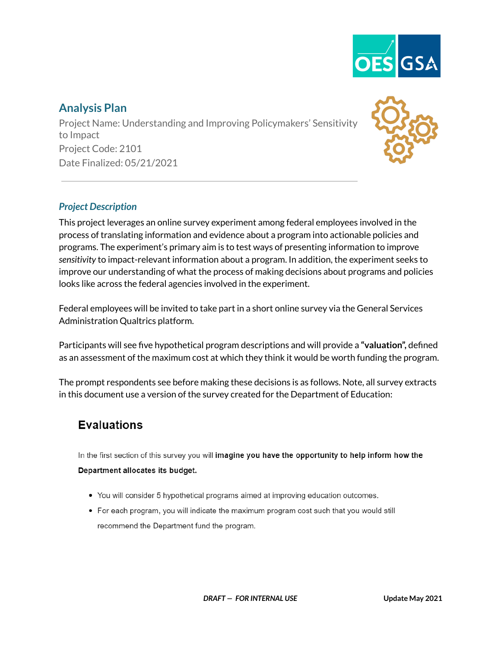

## **Analysis Plan**

Project Name: Understanding and Improving Policymakers' Sensitivity to Impact Project Code: 2101 Date Finalized: 05/21/2021



#### *Project Description*

This project leverages an online survey experiment among federal employees involved in the process of translating information and evidence about a program into actionable policies and programs. The experiment's primary aim is to test ways of presenting information to improve *sensitivity* to impact-relevant information about a program. In addition, the experiment seeks to improve our understanding of what the process of making decisions about programs and policies looks like across the federal agencies involved in the experiment.

Federal employees will be invited to take part in a short online survey via the General Services Administration Qualtrics platform.

Participants will see five hypothetical program descriptions and will provide a **"valuation",** defined as an assessment of the maximum cost at which they think it would be worth funding the program.

The prompt respondents see before making these decisions is as follows. Note, all survey extracts in this document use a version of the survey created for the Department of Education:

# **Evaluations**

In the first section of this survey you will imagine you have the opportunity to help inform how the

#### Department allocates its budget.

- You will consider 5 hypothetical programs aimed at improving education outcomes.
- For each program, you will indicate the maximum program cost such that you would still recommend the Department fund the program.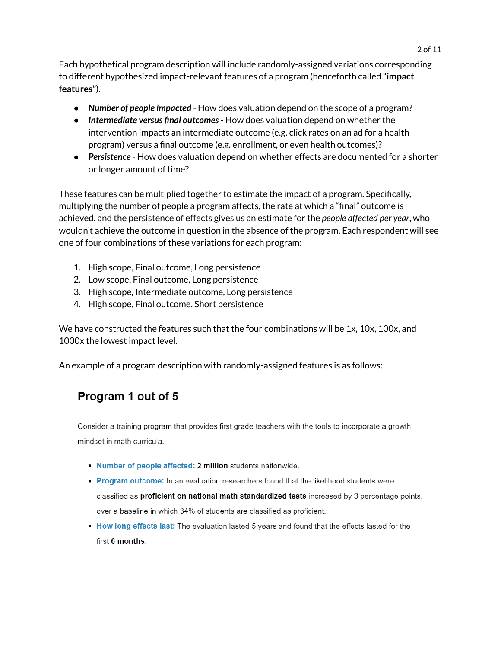Each hypothetical program description will include randomly-assigned variations corresponding to different hypothesized impact-relevant features of a program (henceforth called **"impact features"**).

- *Number of people impacted -* How does valuation depend on the scope of a program?
- *Intermediate versus final outcomes-* How does valuation depend on whether the intervention impacts an intermediate outcome (e.g. click rates on an ad for a health program) versus a final outcome (e.g. enrollment, or even health outcomes)?
- *Persistence* How does valuation depend on whether effects are documented for a shorter or longer amount of time?

These features can be multiplied together to estimate the impact of a program. Specifically, multiplying the number of people a program affects, the rate at which a "final" outcome is achieved, and the persistence of effects gives us an estimate for the *people affected per year*, who wouldn't achieve the outcome in question in the absence of the program. Each respondent will see one of four combinations of these variations for each program:

- 1. High scope, Final outcome, Long persistence
- 2. Low scope, Final outcome, Long persistence
- 3. High scope, Intermediate outcome, Long persistence
- 4. High scope, Final outcome, Short persistence

We have constructed the features such that the four combinations will be 1x, 10x, 100x, and 1000x the lowest impact level.

An example of a program description with randomly-assigned features is as follows:

# Program 1 out of 5

Consider a training program that provides first grade teachers with the tools to incorporate a growth mindset in math curricula.

- . Number of people affected: 2 million students nationwide.
- . Program outcome: In an evaluation researchers found that the likelihood students were classified as proficient on national math standardized tests increased by 3 percentage points, over a baseline in which 34% of students are classified as proficient.
- . How long effects last: The evaluation lasted 5 years and found that the effects lasted for the first 6 months.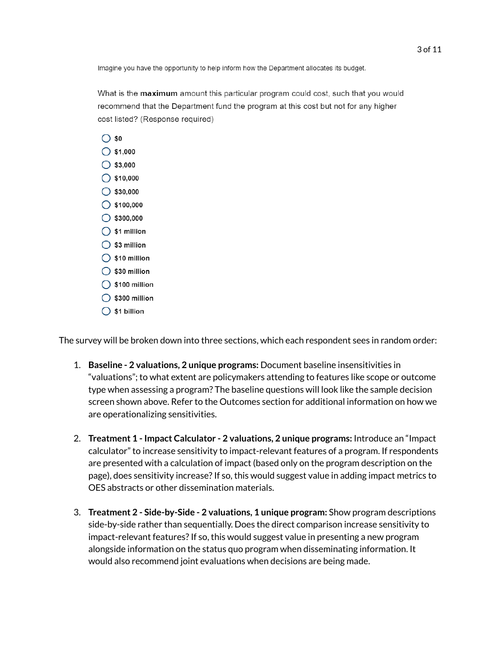Imagine you have the opportunity to help inform how the Department allocates its budget.

What is the **maximum** amount this particular program could cost, such that you would recommend that the Department fund the program at this cost but not for any higher cost listed? (Response required)



The survey will be broken down into three sections, which each respondent sees in random order:

- 1. **Baseline - 2 valuations, 2 unique programs:** Document baseline insensitivities in "valuations"; to what extent are policymakers attending to features like scope or outcome type when assessing a program? The baseline questions will look like the sample decision screen shown above. Refer to the Outcomes section for additional information on how we are operationalizing sensitivities.
- 2. **Treatment 1 - Impact Calculator - 2 valuations, 2 unique programs:** Introduce an "Impact calculator" to increase sensitivity to impact-relevant features of a program. If respondents are presented with a calculation of impact (based only on the program description on the page), does sensitivity increase? If so, this would suggest value in adding impact metrics to OES abstracts or other dissemination materials.
- 3. **Treatment 2 - Side-by-Side - 2 valuations, 1 unique program:** Show program descriptions side-by-side rather than sequentially. Does the direct comparison increase sensitivity to impact-relevant features?If so, this would suggest value in presenting a new program alongside information on the status quo program when disseminating information. It would also recommend joint evaluations when decisions are being made.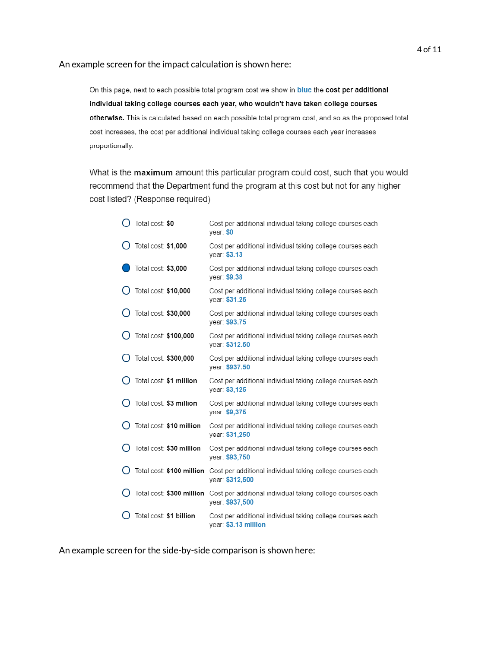#### An example screen for the impact calculation is shown here:

On this page, next to each possible total program cost we show in blue the cost per additional individual taking college courses each year, who wouldn't have taken college courses otherwise. This is calculated based on each possible total program cost, and so as the proposed total cost increases, the cost per additional individual taking college courses each year increases proportionally.

What is the maximum amount this particular program could cost, such that you would recommend that the Department fund the program at this cost but not for any higher cost listed? (Response required)

| Total cost: \$0           | Cost per additional individual taking college courses each<br>year: \$0                                 |
|---------------------------|---------------------------------------------------------------------------------------------------------|
| Total cost: \$1,000       | Cost per additional individual taking college courses each<br>year: \$3.13                              |
| Total cost: \$3,000       | Cost per additional individual taking college courses each<br>vear: \$9.38                              |
| Total cost: \$10,000      | Cost per additional individual taking college courses each<br>year: \$31.25                             |
| Total cost: \$30,000      | Cost per additional individual taking college courses each<br>year: \$93.75                             |
| Total cost: \$100,000     | Cost per additional individual taking college courses each<br>year: \$312.50                            |
| Total cost: \$300,000     | Cost per additional individual taking college courses each<br>year: \$937.50                            |
| Total cost: \$1 million   | Cost per additional individual taking college courses each<br>year: \$3,125                             |
| Total cost: \$3 million   | Cost per additional individual taking college courses each<br>year: \$9,375                             |
| Total cost: \$10 million  | Cost per additional individual taking college courses each<br>year: \$31,250                            |
| Total cost: \$30 million  | Cost per additional individual taking college courses each<br>year: \$93,750                            |
|                           | Total cost: \$100 million Cost per additional individual taking college courses each<br>year: \$312,500 |
| Total cost: \$300 million | Cost per additional individual taking college courses each<br>year: \$937,500                           |
| Total cost: \$1 billion   | Cost per additional individual taking college courses each<br>year: \$3.13 million                      |

An example screen for the side-by-side comparison is shown here: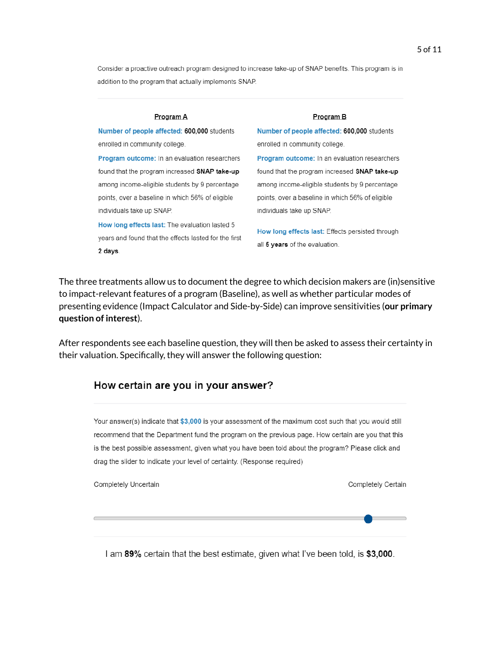Consider a proactive outreach program designed to increase take-up of SNAP benefits. This program is in addition to the program that actually implements SNAP.

#### Program A

Number of people affected: 600,000 students enrolled in community college.

Program outcome: In an evaluation researchers found that the program increased SNAP take-up among income-eligible students by 9 percentage points, over a baseline in which 56% of eligible individuals take up SNAP.

How long effects last: The evaluation lasted 5 years and found that the effects lasted for the first 2 days.

#### Program B Number of people affected: 600,000 students

enrolled in community college. Program outcome: In an evaluation researchers found that the program increased SNAP take-up among income-eligible students by 9 percentage points, over a baseline in which 56% of eligible individuals take up SNAP.

How long effects last: Effects persisted through all 5 years of the evaluation.

The three treatments allow us to document the degree to which decision makers are (in)sensitive to impact-relevant features of a program (Baseline), as well as whether particular modes of presenting evidence (Impact Calculator and Side-by-Side) can improve sensitivities (**our primary question of interest**).

After respondents see each baseline question, they will then be asked to assess their certainty in their valuation. Specifically, they will answer the following question:

#### How certain are you in your answer?

Your answer(s) indicate that \$3,000 is your assessment of the maximum cost such that you would still recommend that the Department fund the program on the previous page. How certain are you that this is the best possible assessment, given what you have been told about the program? Please click and drag the slider to indicate your level of certainty. (Response required)

Completely Uncertain

Completely Certain

I am 89% certain that the best estimate, given what I've been told, is \$3,000.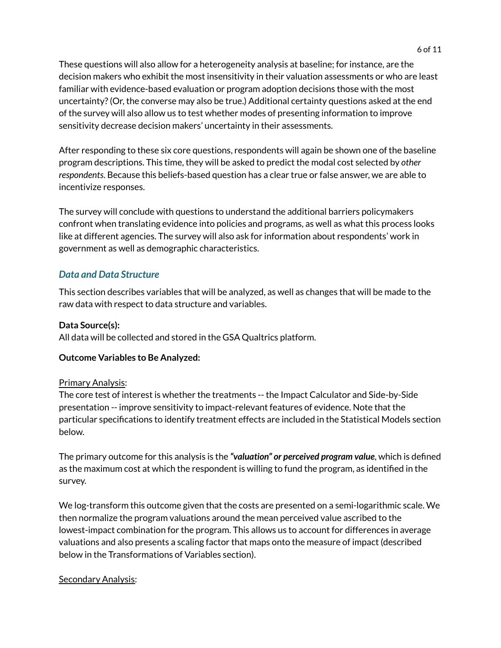These questions will also allow for a heterogeneity analysis at baseline; for instance, are the decision makers who exhibit the most insensitivity in their valuation assessments or who are least familiar with evidence-based evaluation or program adoption decisions those with the most uncertainty?(Or, the converse may also be true.) Additional certainty questions asked at the end of the survey will also allow us to test whether modes of presenting information to improve sensitivity decrease decision makers' uncertainty in their assessments.

After responding to these six core questions, respondents will again be shown one of the baseline program descriptions. This time, they will be asked to predict the modal cost selected by *other respondents*. Because this beliefs-based question has a clear true or false answer, we are able to incentivize responses.

The survey will conclude with questions to understand the additional barriers policymakers confront when translating evidence into policies and programs, as well as what this process looks like at different agencies. The survey will also ask for information about respondents' work in government as well as demographic characteristics.

#### *Data and Data Structure*

This section describes variables that will be analyzed, as well as changes that will be made to the raw data with respect to data structure and variables.

#### **Data Source(s):**

All data will be collected and stored in the GSA Qualtrics platform.

#### **Outcome Variables to Be Analyzed:**

#### Primary Analysis:

The core test of interest is whether the treatments -- the Impact Calculator and Side-by-Side presentation -- improve sensitivity to impact-relevant features of evidence. Note that the particular specifications to identify treatment effects are included in the Statistical Models section below.

The primary outcome for this analysis is the *"valuation" or perceived program value*, which is defined as the maximum cost at which the respondent is willing to fund the program, as identified in the survey.

We log-transform this outcome given that the costs are presented on a semi-logarithmic scale. We then normalize the program valuations around the mean perceived value ascribed to the lowest-impact combination for the program. This allows us to account for differences in average valuations and also presents a scaling factor that maps onto the measure of impact (described below in the Transformations of Variables section).

#### Secondary Analysis: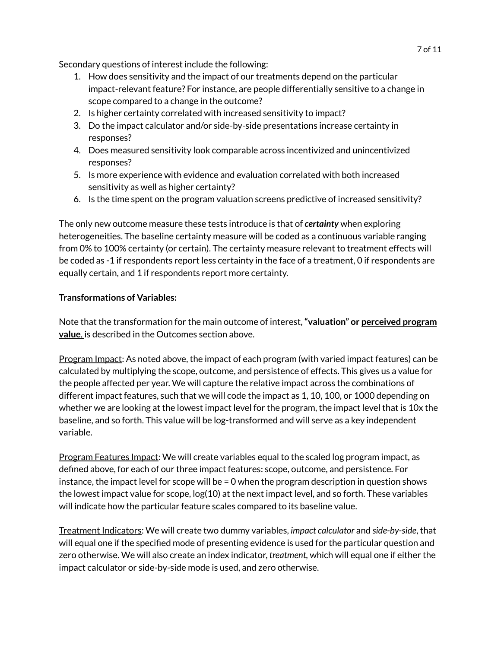Secondary questions of interest include the following:

- 1. How does sensitivity and the impact of our treatments depend on the particular impact-relevant feature? For instance, are people differentially sensitive to a change in scope compared to a change in the outcome?
- 2. Is higher certainty correlated with increased sensitivity to impact?
- 3. Do the impact calculator and/or side-by-side presentations increase certainty in responses?
- 4. Does measured sensitivity look comparable across incentivized and unincentivized responses?
- 5. Is more experience with evidence and evaluation correlated with both increased sensitivity as well as higher certainty?
- 6. Is the time spent on the program valuation screens predictive of increased sensitivity?

The only new outcome measure these tests introduce is that of *certainty* when exploring heterogeneities. The baseline certainty measure will be coded as a continuous variable ranging from 0% to 100% certainty (or certain). The certainty measure relevant to treatment effects will be coded as -1 if respondents report less certainty in the face of a treatment, 0 if respondents are equally certain, and 1 if respondents report more certainty.

#### **Transformations of Variables:**

Note that the transformation for the main outcome of interest,**"valuation" or perceived program value**, is described in the Outcomes section above.

Program Impact: As noted above, the impact of each program (with varied impact features) can be calculated by multiplying the scope, outcome, and persistence of effects. This gives us a value for the people affected per year. We will capture the relative impact across the combinations of different impact features, such that we will code the impact as 1, 10, 100, or 1000 depending on whether we are looking at the lowest impact level for the program, the impact level that is 10x the baseline, and so forth. This value will be log-transformed and will serve as a key independent variable.

Program Features Impact: We will create variables equal to the scaled log program impact, as defined above, for each of our three impact features: scope, outcome, and persistence. For instance, the impact level for scope will be  $= 0$  when the program description in question shows the lowest impact value for scope, log(10) at the next impact level, and so forth. These variables will indicate how the particular feature scales compared to its baseline value.

Treatment Indicators: We will create two dummy variables, *impact calculator* and *side-by-side*, that will equal one if the specified mode of presenting evidence is used for the particular question and zero otherwise. We will also create an index indicator, *treatment,* which will equal one if either the impact calculator or side-by-side mode is used, and zero otherwise.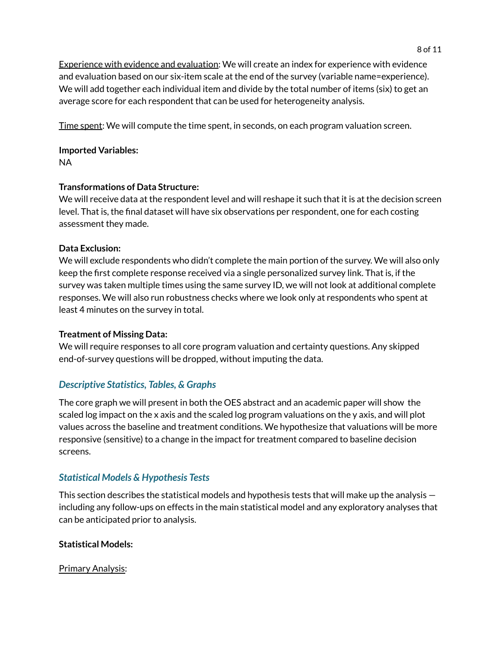Experience with evidence and evaluation: We will create an index for experience with evidence and evaluation based on our six-item scale at the end of the survey (variable name=experience). We will add together each individual item and divide by the total number of items (six) to get an average score for each respondent that can be used for heterogeneity analysis.

Time spent: We will compute the time spent, in seconds, on each program valuation screen.

**Imported Variables:** NA

### **Transformations of Data Structure:**

We will receive data at the respondent level and will reshape it such that it is at the decision screen level. That is, the final dataset will have six observations per respondent, one for each costing assessment they made.

#### **Data Exclusion:**

We will exclude respondents who didn't complete the main portion of the survey. We will also only keep the first complete response received via a single personalized survey link. That is, if the survey was taken multiple times using the same survey ID, we will not look at additional complete responses. We will also run robustness checks where we look only at respondents who spent at least 4 minutes on the survey in total.

### **Treatment of Missing Data:**

We will require responses to all core program valuation and certainty questions. Any skipped end-of-survey questions will be dropped, without imputing the data.

## *Descriptive Statistics, Tables, & Graphs*

The core graph we will present in both the OES abstract and an academic paper will show the scaled log impact on the x axis and the scaled log program valuations on the y axis, and will plot values across the baseline and treatment conditions. We hypothesize that valuations will be more responsive (sensitive) to a change in the impact for treatment compared to baseline decision screens.

### *Statistical Models & Hypothesis Tests*

This section describes the statistical models and hypothesis tests that will make up the analysis including any follow-ups on effects in the main statistical model and any exploratory analyses that can be anticipated prior to analysis.

### **Statistical Models:**

Primary Analysis: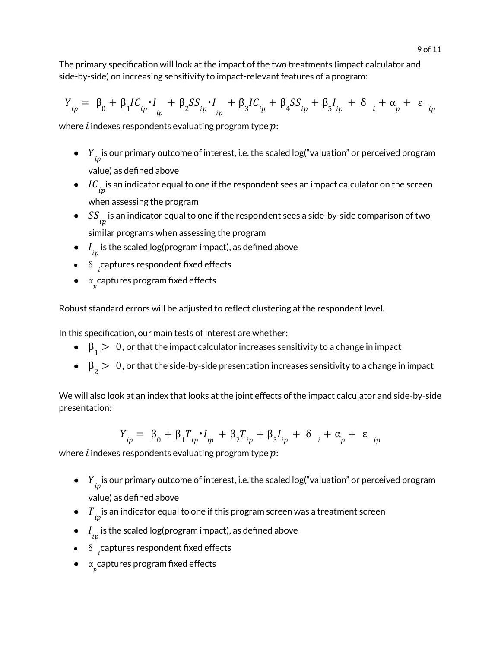The primary specification will look at the impact of the two treatments (impact calculator and side-by-side) on increasing sensitivity to impact-relevant features of a program:

$$
Y_{ip} = \beta_0 + \beta_1 IC_{ip} \cdot I_{ip} + \beta_2 SS_{ip} \cdot I_{ip} + \beta_3 IC_{ip} + \beta_4 SS_{ip} + \beta_5 I_{ip} + \delta_i + \alpha_p + \epsilon_{ip}
$$

where *i* indexes respondents evaluating program type  $p$ :

- $\bullet$  if  $Y_{ip}^{\phantom i}$  is our primary outcome of interest, i.e. the scaled log("valuation" or perceived program value) as defined above
- $\bullet$   $\;\;IC_{ip}^{\phantom i}$  is an indicator equal to one if the respondent sees an impact calculator on the screen when assessing the program
- $\bullet \quad S S_{ip}$  is an indicator equal to one if the respondent sees a side-by-side comparison of two similar programs when assessing the program
- $\bullet$   $\quad$   $\!l}_{ip}$  is the scaled log(program impact), as defined above
- $\bullet$   $\delta$   $\underset{i}{\sim}$  captures respondent fixed effects
- $\bullet$   $\alpha$  captures program fixed effects

Robust standard errors will be adjusted to reflect clustering at the respondent level.

In this specification, our main tests of interest are whether:

- $\bullet \quad \beta_{1} > \quad 0,$  or that the impact calculator increases sensitivity to a change in impact
- $\bullet \quad \beta_{2} > \;\; 0,$  or that the side-by-side presentation increases sensitivity to a change in impact

We will also look at an index that looks at the joint effects of the impact calculator and side-by-side presentation:

$$
Y_{ip} = \beta_0 + \beta_1 T_{ip} \cdot I_{ip} + \beta_2 T_{ip} + \beta_3 I_{ip} + \delta_i + \alpha_p + \varepsilon_{ip}
$$

where *i* indexes respondents evaluating program type  $p$ :

- $\bullet$  if  $Y_{ip}^{\phantom i}$  is our primary outcome of interest, i.e. the scaled log("valuation" or perceived program value) as defined above
- $\bullet$   $\tau_{ip}^-$  is an indicator equal to one if this program screen was a treatment screen
- $\bullet$   $\quad$   $\!l}_{ip}$  is the scaled log(program impact), as defined above
- $\bullet$   $\delta$   $\underset{i}{\sim}$  captures respondent fixed effects
- $\bullet$   $\alpha$  captures program fixed effects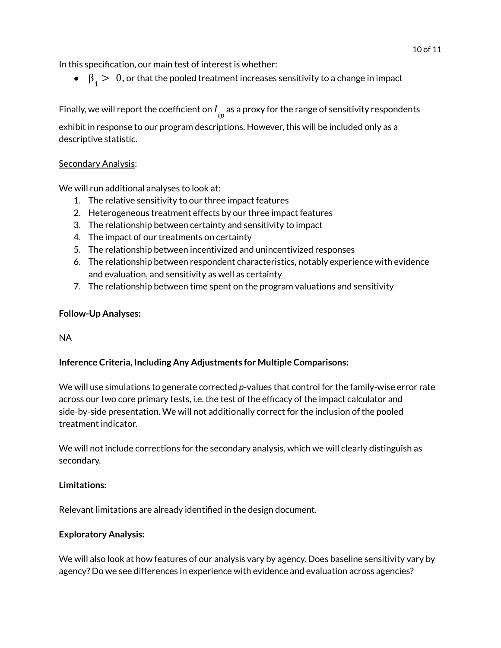In this specification, our main test of interest is whether:

 $\bullet \quad \beta_{1} > \quad 0,$  or that the pooled treatment increases sensitivity to a change in impact

Finally, we will report the coefficient on  $I_{\stackrel{\cdot}{ip}}$  as a proxy for the range of sensitivity respondents

exhibit in response to our program descriptions. However, this will be included only as a descriptive statistic.

#### Secondary Analysis:

We will run additional analyses to look at:

- 1. The relative sensitivity to our three impact features
- 2. Heterogeneous treatment effects by our three impact features
- 3. The relationship between certainty and sensitivity to impact
- 4. The impact of our treatments on certainty
- 5. The relationship between incentivized and unincentivized responses
- 6. The relationship between respondent characteristics, notably experience with evidence and evaluation, and sensitivity as well as certainty
- 7. The relationship between time spent on the program valuations and sensitivity

#### **Follow-Up Analyses:**

#### NA

### **Inference Criteria, Including Any Adjustments for Multiple Comparisons:**

We will use simulations to generate corrected *p*-values that control for the family-wise error rate across our two core primary tests, i.e. the test of the efficacy of the impact calculator and side-by-side presentation. We will not additionally correct for the inclusion of the pooled treatment indicator.

We will not include corrections for the secondary analysis, which we will clearly distinguish as secondary.

#### **Limitations:**

Relevant limitations are already identified in the design document.

#### **Exploratory Analysis:**

We will also look at how features of our analysis vary by agency. Does baseline sensitivity vary by agency? Do we see differences in experience with evidence and evaluation across agencies?